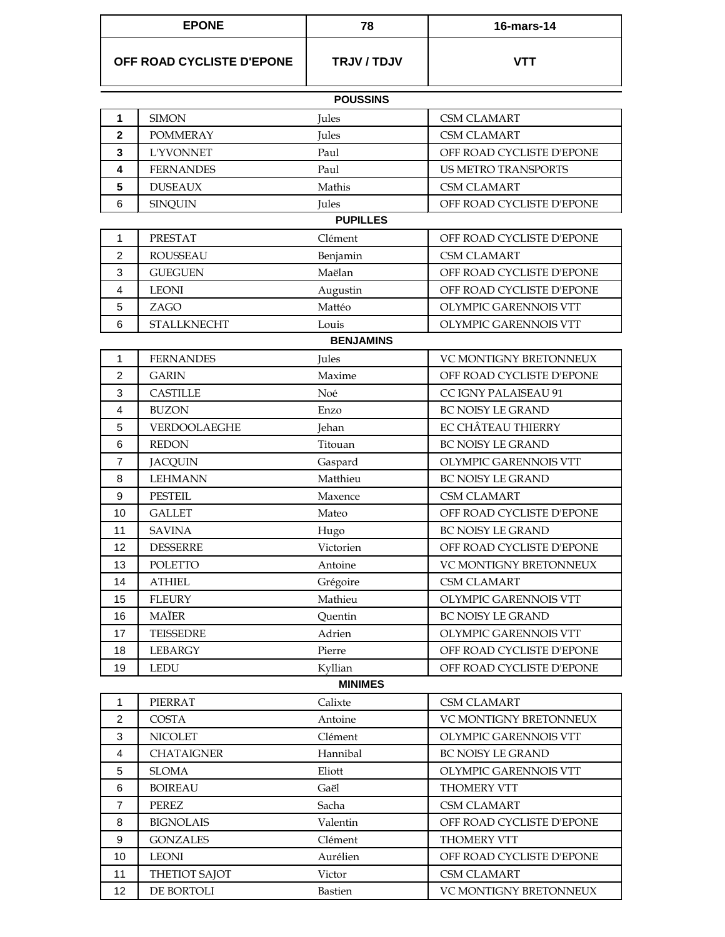| <b>EPONE</b>              |                    | 78               | 16-mars-14                    |
|---------------------------|--------------------|------------------|-------------------------------|
| OFF ROAD CYCLISTE D'EPONE |                    | TRJV / TDJV      | <b>VTT</b>                    |
|                           |                    | <b>POUSSINS</b>  |                               |
| 1                         | <b>SIMON</b>       | Jules            | <b>CSM CLAMART</b>            |
| $\mathbf{2}$              | <b>POMMERAY</b>    | Jules            | <b>CSM CLAMART</b>            |
| 3                         | <b>L'YVONNET</b>   | Paul             | OFF ROAD CYCLISTE D'EPONE     |
| 4                         | <b>FERNANDES</b>   | Paul             | <b>US METRO TRANSPORTS</b>    |
| 5                         | <b>DUSEAUX</b>     | Mathis           | <b>CSM CLAMART</b>            |
| 6                         | <b>SINQUIN</b>     | Jules            | OFF ROAD CYCLISTE D'EPONE     |
|                           |                    | <b>PUPILLES</b>  |                               |
| 1                         | <b>PRESTAT</b>     | Clément          | OFF ROAD CYCLISTE D'EPONE     |
| $\overline{2}$            | <b>ROUSSEAU</b>    | Benjamin         | <b>CSM CLAMART</b>            |
| 3                         | <b>GUEGUEN</b>     | Maëlan           | OFF ROAD CYCLISTE D'EPONE     |
| 4                         | <b>LEONI</b>       | Augustin         | OFF ROAD CYCLISTE D'EPONE     |
| 5                         | ZAGO               | Mattéo           | OLYMPIC GARENNOIS VTT         |
| 6                         | <b>STALLKNECHT</b> | Louis            | OLYMPIC GARENNOIS VTT         |
|                           |                    | <b>BENJAMINS</b> |                               |
| 1                         | <b>FERNANDES</b>   | Jules            | VC MONTIGNY BRETONNEUX        |
| 2                         | <b>GARIN</b>       | Maxime           | OFF ROAD CYCLISTE D'EPONE     |
| 3                         | <b>CASTILLE</b>    | Noé              | CC IGNY PALAISEAU 91          |
| 4                         | <b>BUZON</b>       | Enzo             | <b>BC NOISY LE GRAND</b>      |
| 5                         | VERDOOLAEGHE       | Jehan            | EC CHÂTEAU THIERRY            |
| 6                         | <b>REDON</b>       | Titouan          | <b>BC NOISY LE GRAND</b>      |
| $\overline{7}$            | <b>JACQUIN</b>     | Gaspard          | OLYMPIC GARENNOIS VTT         |
| 8                         | <b>LEHMANN</b>     | Matthieu         | <b>BC NOISY LE GRAND</b>      |
| 9                         | <b>PESTEIL</b>     | Maxence          | <b>CSM CLAMART</b>            |
| 10                        | <b>GALLET</b>      | Mateo            | OFF ROAD CYCLISTE D'EPONE     |
| 11                        | <b>SAVINA</b>      | Hugo             | <b>BC NOISY LE GRAND</b>      |
| 12                        | <b>DESSERRE</b>    | Victorien        | OFF ROAD CYCLISTE D'EPONE     |
| 13                        | POLETTO            | Antoine          | <b>VC MONTIGNY BRETONNEUX</b> |
| 14                        | <b>ATHIEL</b>      | Grégoire         | <b>CSM CLAMART</b>            |
| 15                        | <b>FLEURY</b>      | Mathieu          | OLYMPIC GARENNOIS VTT         |
| 16                        | MAÏER              | Quentin          | <b>BC NOISY LE GRAND</b>      |
| 17                        | <b>TEISSEDRE</b>   | Adrien           | OLYMPIC GARENNOIS VTT         |
| 18                        | LEBARGY            | Pierre           | OFF ROAD CYCLISTE D'EPONE     |
| 19                        | <b>LEDU</b>        | Kyllian          | OFF ROAD CYCLISTE D'EPONE     |
|                           |                    | <b>MINIMES</b>   |                               |
| 1                         | PIERRAT            | Calixte          | <b>CSM CLAMART</b>            |
| $\overline{2}$            | <b>COSTA</b>       | Antoine          | VC MONTIGNY BRETONNEUX        |
| 3                         | <b>NICOLET</b>     | Clément          | OLYMPIC GARENNOIS VTT         |
| $\overline{4}$            | <b>CHATAIGNER</b>  | Hannibal         | BC NOISY LE GRAND             |
| 5                         | <b>SLOMA</b>       | Eliott           | OLYMPIC GARENNOIS VTT         |
| 6                         | <b>BOIREAU</b>     | Gaël             | THOMERY VTT                   |
| $\overline{7}$            | <b>PEREZ</b>       | Sacha            | <b>CSM CLAMART</b>            |
| 8                         | <b>BIGNOLAIS</b>   | Valentin         | OFF ROAD CYCLISTE D'EPONE     |
| $\boldsymbol{9}$          | <b>GONZALES</b>    | Clément          | THOMERY VTT                   |
| 10                        | LEONI              | Aurélien         | OFF ROAD CYCLISTE D'EPONE     |
| 11                        | THETIOT SAJOT      | Victor           | <b>CSM CLAMART</b>            |
| 12                        | DE BORTOLI         | <b>Bastien</b>   | VC MONTIGNY BRETONNEUX        |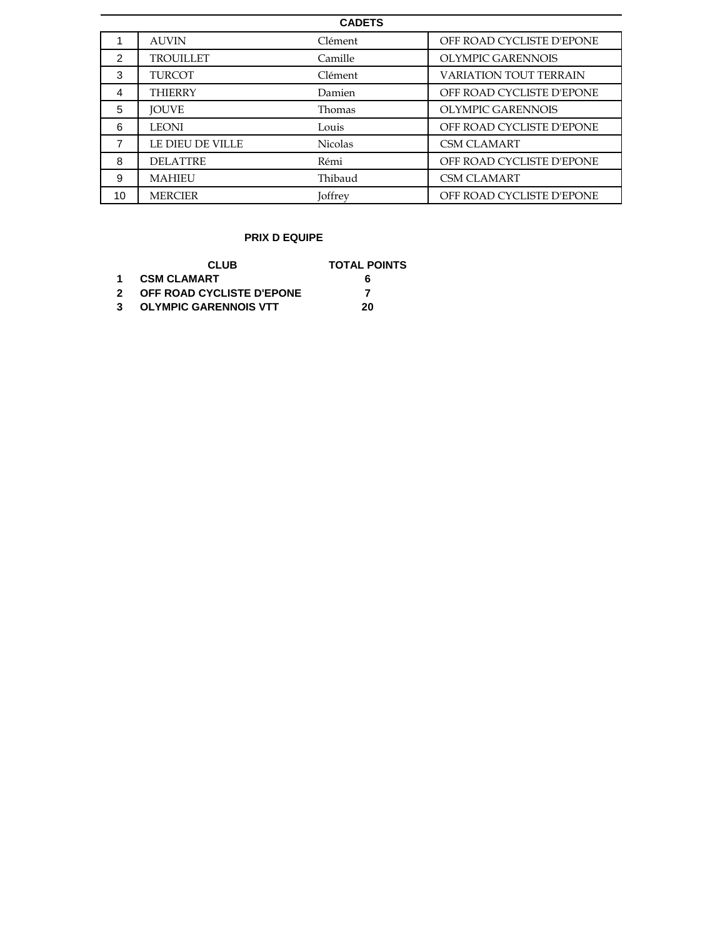| <b>CADETS</b> |                  |                |                               |  |  |
|---------------|------------------|----------------|-------------------------------|--|--|
|               | <b>AUVIN</b>     | Clément        | OFF ROAD CYCLISTE D'EPONE     |  |  |
| 2             | <b>TROUILLET</b> | Camille        | OLYMPIC GARENNOIS             |  |  |
| 3             | <b>TURCOT</b>    | Clément        | <b>VARIATION TOUT TERRAIN</b> |  |  |
| 4             | <b>THIERRY</b>   | Damien         | OFF ROAD CYCLISTE D'EPONE     |  |  |
| 5             | <b>JOUVE</b>     | Thomas         | OLYMPIC GARENNOIS             |  |  |
| 6             | <b>LEONI</b>     | Louis          | OFF ROAD CYCLISTE D'EPONE     |  |  |
| 7             | LE DIEU DE VILLE | <b>Nicolas</b> | <b>CSM CLAMART</b>            |  |  |
| 8             | <b>DELATTRE</b>  | Rémi           | OFF ROAD CYCLISTE D'EPONE     |  |  |
| 9             | <b>MAHIEU</b>    | Thibaud        | <b>CSM CLAMART</b>            |  |  |
| 10            | <b>MERCIER</b>   | Joffrey        | OFF ROAD CYCLISTE D'EPONE     |  |  |

## **PRIX D EQUIPE**

|                | CLUB.                        | <b>TOTAL POINTS</b> |
|----------------|------------------------------|---------------------|
| $\overline{1}$ | <b>CSM CLAMART</b>           | 6                   |
| $\mathbf{2}$   | OFF ROAD CYCLISTE D'EPONE    |                     |
| 3              | <b>OLYMPIC GARENNOIS VTT</b> | 20                  |